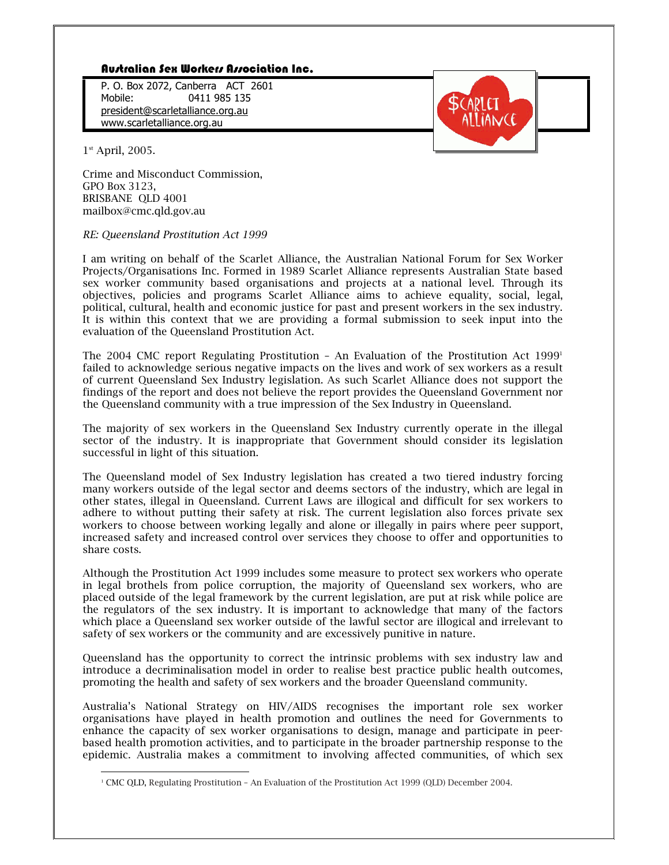## Australian Sex Workers Association Inc.

P. O. Box 2072, Canberra ACT 2601 Mobile: 0411 985 135 president@scarletalliance.org.au www.scarletalliance.org.au



 $1<sup>st</sup>$  April, 2005.

Crime and Misconduct Commission, GPO Box 3123, BRISBANE QLD 4001 mailbox@cmc.qld.gov.au

#### RE: Queensland Prostitution Act 1999

I am writing on behalf of the Scarlet Alliance, the Australian National Forum for Sex Worker Projects/Organisations Inc. Formed in 1989 Scarlet Alliance represents Australian State based sex worker community based organisations and projects at a national level. Through its objectives, policies and programs Scarlet Alliance aims to achieve equality, social, legal, political, cultural, health and economic justice for past and present workers in the sex industry. It is within this context that we are providing a formal submission to seek input into the evaluation of the Queensland Prostitution Act.

The 2004 CMC report Regulating Prostitution - An Evaluation of the Prostitution Act  $1999<sup>1</sup>$ failed to acknowledge serious negative impacts on the lives and work of sex workers as a result of current Oueensland Sex Industry legislation. As such Scarlet Alliance does not support the findings of the report and does not believe the report provides the Queensland Government nor the Oueensland community with a true impression of the Sex Industry in Oueensland.

The majority of sex workers in the Queensland Sex Industry currently operate in the illegal sector of the industry. It is inappropriate that Government should consider its legislation successful in light of this situation.

The Queensland model of Sex Industry legislation has created a two tiered industry forcing many workers outside of the legal sector and deems sectors of the industry, which are legal in other states, illegal in Queensland. Current Laws are illogical and difficult for sex workers to adhere to without putting their safety at risk. The current legislation also forces private sex workers to choose between working legally and alone or illegally in pairs where peer support, increased safety and increased control over services they choose to offer and opportunities to share costs.

Although the Prostitution Act 1999 includes some measure to protect sex workers who operate in legal brothels from police corruption, the majority of Queensland sex workers, who are placed outside of the legal framework by the current legislation, are put at risk while police are the regulators of the sex industry. It is important to acknowledge that many of the factors which place a Queensland sex worker outside of the lawful sector are illogical and irrelevant to safety of sex workers or the community and are excessively punitive in nature.

Queensland has the opportunity to correct the intrinsic problems with sex industry law and introduce a decriminalisation model in order to realise best practice public health outcomes, promoting the health and safety of sex workers and the broader Queensland community.

Australia's National Strategy on HIV/AIDS recognises the important role sex worker organisations have played in health promotion and outlines the need for Governments to enhance the capacity of sex worker organisations to design, manage and participate in peerbased health promotion activities, and to participate in the broader partnership response to the epidemic. Australia makes a commitment to involving affected communities, of which sex

<sup>&</sup>lt;sup>1</sup> CMC QLD, Regulating Prostitution - An Evaluation of the Prostitution Act 1999 (QLD) December 2004.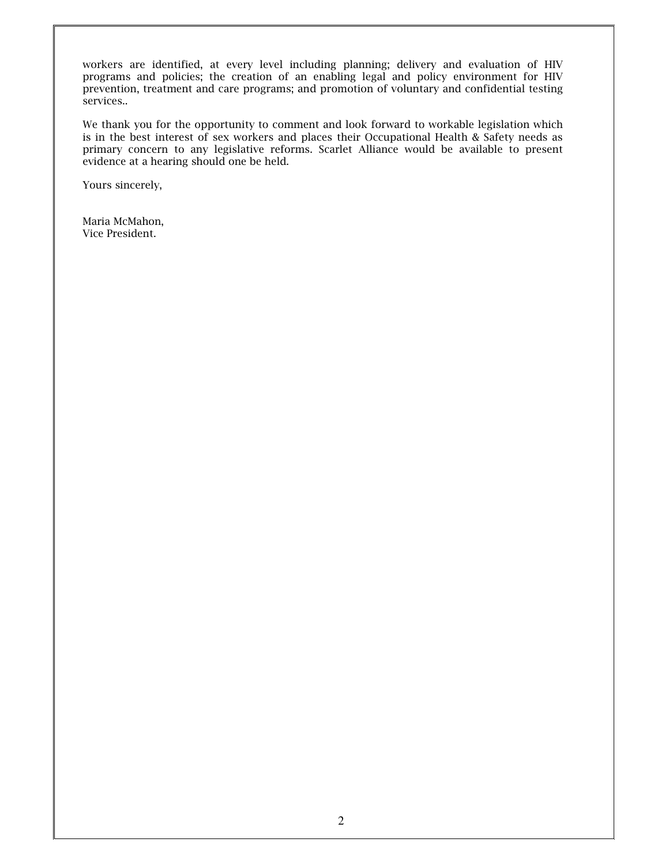workers are identified, at every level including planning; delivery and evaluation of HIV programs and policies; the creation of an enabling legal and policy environment for HIV prevention, treatment and care programs; and promotion of voluntary and confidential testing services..

We thank you for the opportunity to comment and look forward to workable legislation which is in the best interest of sex workers and places their Occupational Health & Safety needs as primary concern to any legislative reforms. Scarlet Alliance would be available to present evidence at a hearing should one be held.

Yours sincerely,

Maria McMahon, Vice President.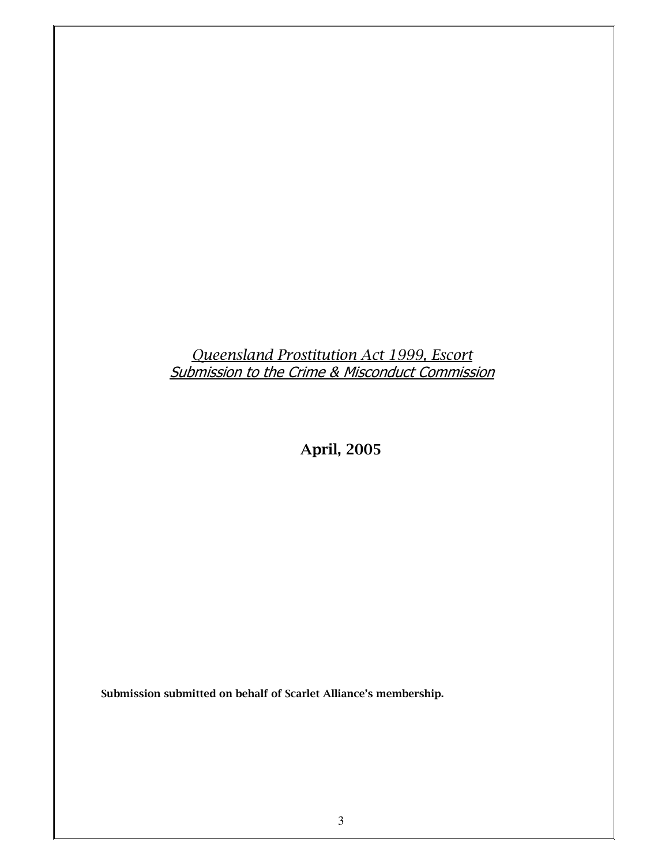# Queensland Prostitution Act 1999, Escort<br>Submission to the Crime & Misconduct Commission

**April, 2005** 

Submission submitted on behalf of Scarlet Alliance's membership.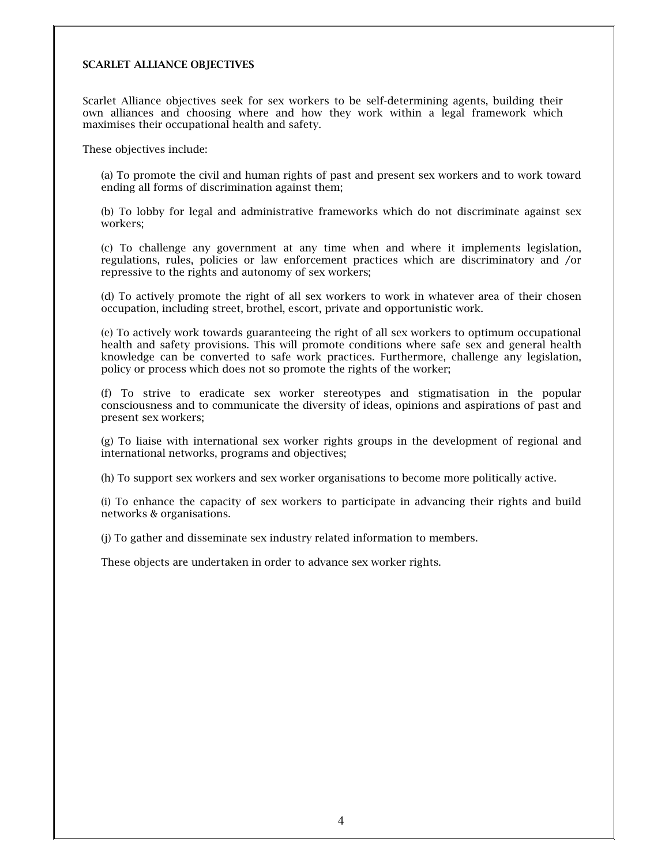#### **SCARLET ALLIANCE OBJECTIVES**

Scarlet Alliance objectives seek for sex workers to be self-determining agents, building their own alliances and choosing where and how they work within a legal framework which maximises their occupational health and safety.

These objectives include:

(a) To promote the civil and human rights of past and present sex workers and to work toward ending all forms of discrimination against them;

(b) To lobby for legal and administrative frameworks which do not discriminate against sex workers:

(c) To challenge any government at any time when and where it implements legislation, regulations, rules, policies or law enforcement practices which are discriminatory and /or repressive to the rights and autonomy of sex workers;

(d) To actively promote the right of all sex workers to work in whatever area of their chosen occupation, including street, brothel, escort, private and opportunistic work.

(e) To actively work towards guaranteeing the right of all sex workers to optimum occupational health and safety provisions. This will promote conditions where safe sex and general health knowledge can be converted to safe work practices. Furthermore, challenge any legislation, policy or process which does not so promote the rights of the worker:

(f) To strive to eradicate sex worker stereotypes and stigmatisation in the popular consciousness and to communicate the diversity of ideas, opinions and aspirations of past and present sex workers;

 $(g)$  To liaise with international sex worker rights groups in the development of regional and international networks, programs and objectives;

(h) To support sex workers and sex worker organisations to become more politically active.

(i) To enhance the capacity of sex workers to participate in advancing their rights and build networks & organisations.

(i) To gather and disseminate sex industry related information to members.

These objects are undertaken in order to advance sex worker rights.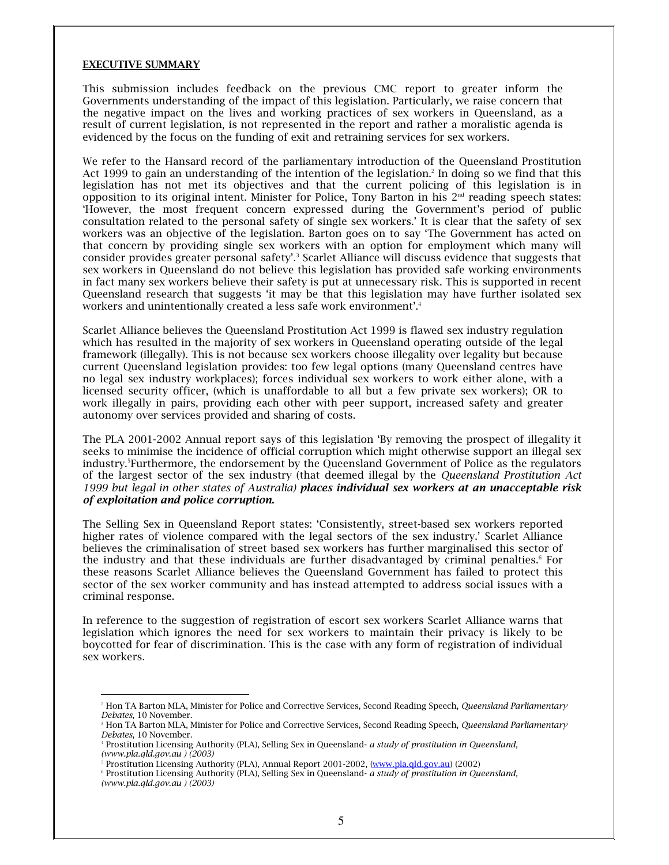#### **EXECUTIVE SUMMARY**

This submission includes feedback on the previous CMC report to greater inform the Governments understanding of the impact of this legislation. Particularly, we raise concern that the negative impact on the lives and working practices of sex workers in Queensland, as a result of current legislation, is not represented in the report and rather a moralistic agenda is evidenced by the focus on the funding of exit and retraining services for sex workers.

We refer to the Hansard record of the parliamentary introduction of the Queensland Prostitution Act 1999 to gain an understanding of the intention of the legislation.<sup>2</sup> In doing so we find that this legislation has not met its objectives and that the current policing of this legislation is in opposition to its original intent. Minister for Police, Tony Barton in his 2<sup>nd</sup> reading speech states: 'However, the most frequent concern expressed during the Government's period of public consultation related to the personal safety of single sex workers.' It is clear that the safety of sex workers was an objective of the legislation. Barton goes on to say 'The Government has acted on that concern by providing single sex workers with an option for employment which many will consider provides greater personal safety'.<sup>3</sup> Scarlet Alliance will discuss evidence that suggests that sex workers in Queensland do not believe this legislation has provided safe working environments in fact many sex workers believe their safety is put at unnecessary risk. This is supported in recent Queensland research that suggests 'it may be that this legislation may have further isolated sex workers and unintentionally created a less safe work environment'.<sup>4</sup>

Scarlet Alliance believes the Queensland Prostitution Act 1999 is flawed sex industry regulation which has resulted in the majority of sex workers in Queensland operating outside of the legal framework (illegally). This is not because sex workers choose illegality over legality but because current Queensland legislation provides: too few legal options (many Queensland centres have no legal sex industry workplaces); forces individual sex workers to work either alone, with a licensed security officer, (which is unaffordable to all but a few private sex workers); OR to work illegally in pairs, providing each other with peer support, increased safety and greater autonomy over services provided and sharing of costs.

The PLA 2001-2002 Annual report says of this legislation 'By removing the prospect of illegality it seeks to minimise the incidence of official corruption which might otherwise support an illegal sex industry.<sup>5</sup>Furthermore, the endorsement by the Queensland Government of Police as the regulators of the largest sector of the sex industry (that deemed illegal by the Queensland Prostitution Act 1999 but legal in other states of Australia) places individual sex workers at an unacceptable risk of exploitation and police corruption.

The Selling Sex in Queensland Report states: 'Consistently, street-based sex workers reported higher rates of violence compared with the legal sectors of the sex industry.' Scarlet Alliance believes the criminalisation of street based sex workers has further marginalised this sector of the industry and that these individuals are further disadvantaged by criminal penalties.<sup>6</sup> For these reasons Scarlet Alliance believes the Queensland Government has failed to protect this sector of the sex worker community and has instead attempted to address social issues with a criminal response.

In reference to the suggestion of registration of escort sex workers Scarlet Alliance warns that legislation which ignores the need for sex workers to maintain their privacy is likely to be boycotted for fear of discrimination. This is the case with any form of registration of individual sex workers.

<sup>&</sup>lt;sup>2</sup> Hon TA Barton MLA, Minister for Police and Corrective Services, Second Reading Speech, Queensland Parliamentary Debates, 10 November.

<sup>&</sup>lt;sup>3</sup> Hon TA Barton MLA, Minister for Police and Corrective Services, Second Reading Speech, Queensland Parliamentary Debates, 10 November.

<sup>&</sup>lt;sup>4</sup> Prostitution Licensing Authority (PLA), Selling Sex in Queensland- a study of prostitution in Queensland, (www.pla.qld.qov.au) (2003)

<sup>&</sup>lt;sup>5</sup> Prostitution Licensing Authority (PLA), Annual Report 2001-2002, (www.pla.qld.gov.au) (2002)

<sup>&</sup>lt;sup>6</sup> Prostitution Licensing Authority (PLA), Selling Sex in Queensland- a study of prostitution in Queensland, (www.pla.qld.gov.au) (2003)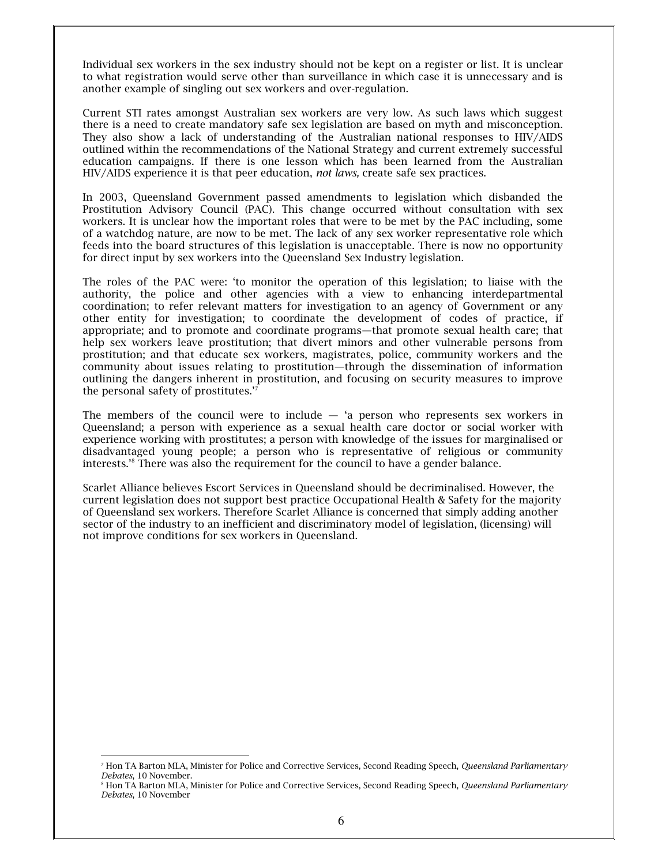Individual sex workers in the sex industry should not be kept on a register or list. It is unclear to what registration would serve other than surveillance in which case it is unnecessary and is another example of singling out sex workers and over-regulation.

Current STI rates amongst Australian sex workers are very low. As such laws which suggest there is a need to create mandatory safe sex legislation are based on myth and misconception. They also show a lack of understanding of the Australian national responses to HIV/AIDS outlined within the recommendations of the National Strategy and current extremely successful education campaigns. If there is one lesson which has been learned from the Australian HIV/AIDS experience it is that peer education, not laws, create safe sex practices.

In 2003, Queensland Government passed amendments to legislation which disbanded the Prostitution Advisory Council (PAC). This change occurred without consultation with sex workers. It is unclear how the important roles that were to be met by the PAC including, some of a watchdog nature, are now to be met. The lack of any sex worker representative role which feeds into the board structures of this legislation is unacceptable. There is now no opportunity for direct input by sex workers into the Queensland Sex Industry legislation.

The roles of the PAC were: 'to monitor the operation of this legislation; to liaise with the authority, the police and other agencies with a view to enhancing interdepartmental coordination; to refer relevant matters for investigation to an agency of Government or any other entity for investigation; to coordinate the development of codes of practice, if appropriate; and to promote and coordinate programs-that promote sexual health care; that help sex workers leave prostitution; that divert minors and other vulnerable persons from prostitution; and that educate sex workers, magistrates, police, community workers and the community about issues relating to prostitution—through the dissemination of information outlining the dangers inherent in prostitution, and focusing on security measures to improve the personal safety of prostitutes."

The members of the council were to include  $-$  'a person who represents sex workers in Queensland; a person with experience as a sexual health care doctor or social worker with experience working with prostitutes; a person with knowledge of the issues for marginalised or disadvantaged young people; a person who is representative of religious or community interests.'<sup>8</sup> There was also the requirement for the council to have a gender balance.

Scarlet Alliance believes Escort Services in Queensland should be decriminalised. However, the current legislation does not support best practice Occupational Health & Safety for the majority of Queensland sex workers. Therefore Scarlet Alliance is concerned that simply adding another sector of the industry to an inefficient and discriminatory model of legislation, (licensing) will not improve conditions for sex workers in Queensland.

<sup>&</sup>lt;sup>7</sup> Hon TA Barton MLA, Minister for Police and Corrective Services, Second Reading Speech, Queensland Parliamentary Debates, 10 November.

<sup>&</sup>lt;sup>8</sup> Hon TA Barton MLA, Minister for Police and Corrective Services, Second Reading Speech, *Queensland Parliamentary* Debates, 10 November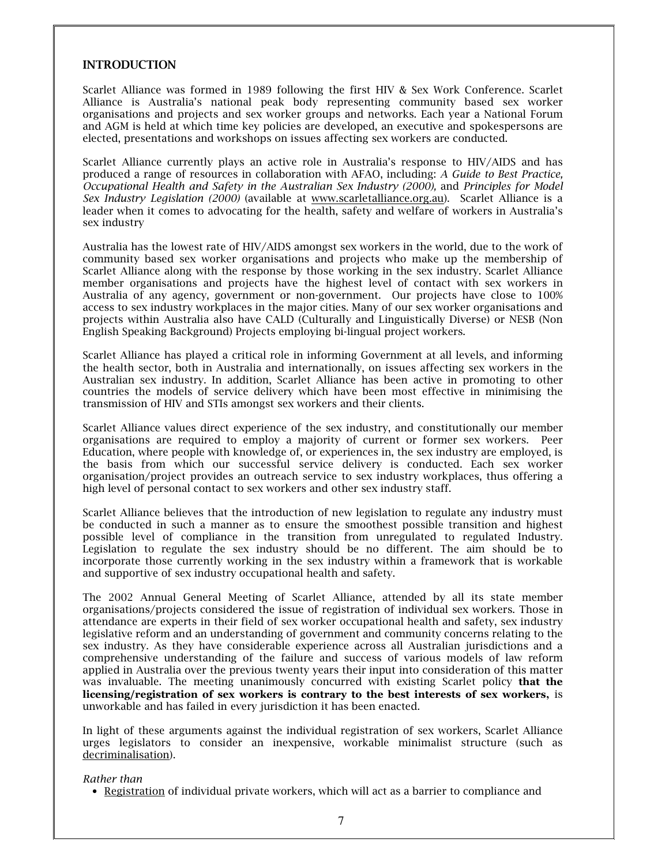#### **INTRODUCTION**

Scarlet Alliance was formed in 1989 following the first HIV & Sex Work Conference. Scarlet Alliance is Australia's national peak body representing community based sex worker organisations and projects and sex worker groups and networks. Each year a National Forum and AGM is held at which time key policies are developed, an executive and spokespersons are elected, presentations and workshops on issues affecting sex workers are conducted.

Scarlet Alliance currently plays an active role in Australia's response to HIV/AIDS and has produced a range of resources in collaboration with AFAO, including: A Guide to Best Practice, Occupational Health and Safety in the Australian Sex Industry (2000), and Principles for Model Sex Industry Legislation (2000) (available at www.scarletalliance.org.au). Scarlet Alliance is a leader when it comes to advocating for the health, safety and welfare of workers in Australia's sex industry

Australia has the lowest rate of HIV/AIDS amongst sex workers in the world, due to the work of community based sex worker organisations and projects who make up the membership of Scarlet Alliance along with the response by those working in the sex industry. Scarlet Alliance member organisations and projects have the highest level of contact with sex workers in Australia of any agency, government or non-government. Our projects have close to 100% access to sex industry workplaces in the major cities. Many of our sex worker organisations and projects within Australia also have CALD (Culturally and Linguistically Diverse) or NESB (Non English Speaking Background) Projects employing bi-lingual project workers.

Scarlet Alliance has played a critical role in informing Government at all levels, and informing the health sector, both in Australia and internationally, on issues affecting sex workers in the Australian sex industry. In addition, Scarlet Alliance has been active in promoting to other countries the models of service delivery which have been most effective in minimising the transmission of HIV and STIs amongst sex workers and their clients.

Scarlet Alliance values direct experience of the sex industry, and constitutionally our member organisations are required to employ a majority of current or former sex workers. Peer Education, where people with knowledge of, or experiences in, the sex industry are employed, is the basis from which our successful service delivery is conducted. Each sex worker organisation/project provides an outreach service to sex industry workplaces, thus offering a high level of personal contact to sex workers and other sex industry staff.

Scarlet Alliance believes that the introduction of new legislation to regulate any industry must be conducted in such a manner as to ensure the smoothest possible transition and highest possible level of compliance in the transition from unregulated to regulated Industry. Legislation to regulate the sex industry should be no different. The aim should be to incorporate those currently working in the sex industry within a framework that is workable and supportive of sex industry occupational health and safety.

The 2002 Annual General Meeting of Scarlet Alliance, attended by all its state member organisations/projects considered the issue of registration of individual sex workers. Those in attendance are experts in their field of sex worker occupational health and safety, sex industry legislative reform and an understanding of government and community concerns relating to the sex industry. As they have considerable experience across all Australian jurisdictions and a comprehensive understanding of the failure and success of various models of law reform applied in Australia over the previous twenty years their input into consideration of this matter was invaluable. The meeting unanimously concurred with existing Scarlet policy that the licensing/registration of sex workers is contrary to the best interests of sex workers, is unworkable and has failed in every jurisdiction it has been enacted.

In light of these arguments against the individual registration of sex workers, Scarlet Alliance urges legislators to consider an inexpensive, workable minimalist structure (such as decriminalisation).

#### Rather than

• Registration of individual private workers, which will act as a barrier to compliance and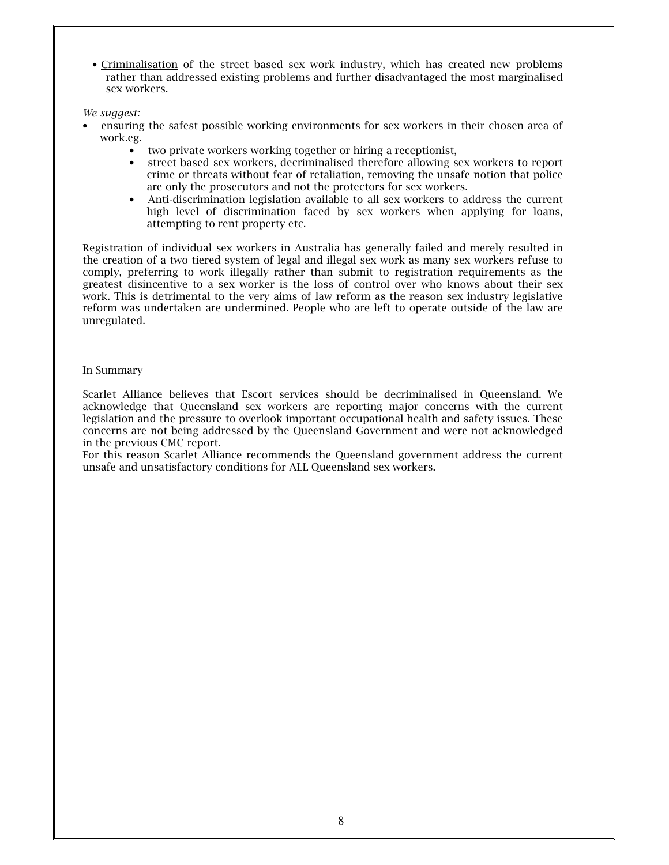• Criminalisation of the street based sex work industry, which has created new problems rather than addressed existing problems and further disadvantaged the most marginalised sex workers.

We suggest:

- ensuring the safest possible working environments for sex workers in their chosen area of work.eg.
	- two private workers working together or hiring a receptionist,  $\bullet$
	- $\bullet$ street based sex workers, decriminalised therefore allowing sex workers to report crime or threats without fear of retaliation, removing the unsafe notion that police are only the prosecutors and not the protectors for sex workers.
	- Anti-discrimination legislation available to all sex workers to address the current high level of discrimination faced by sex workers when applying for loans, attempting to rent property etc.

Registration of individual sex workers in Australia has generally failed and merely resulted in the creation of a two tiered system of legal and illegal sex work as many sex workers refuse to comply, preferring to work illegally rather than submit to registration requirements as the greatest disincentive to a sex worker is the loss of control over who knows about their sex work. This is detrimental to the very aims of law reform as the reason sex industry legislative reform was undertaken are undermined. People who are left to operate outside of the law are unregulated.

## In Summary

Scarlet Alliance believes that Escort services should be decriminalised in Queensland. We acknowledge that Oueensland sex workers are reporting major concerns with the current legislation and the pressure to overlook important occupational health and safety issues. These concerns are not being addressed by the Queensland Government and were not acknowledged in the previous CMC report.

For this reason Scarlet Alliance recommends the Queensland government address the current unsafe and unsatisfactory conditions for ALL Queensland sex workers.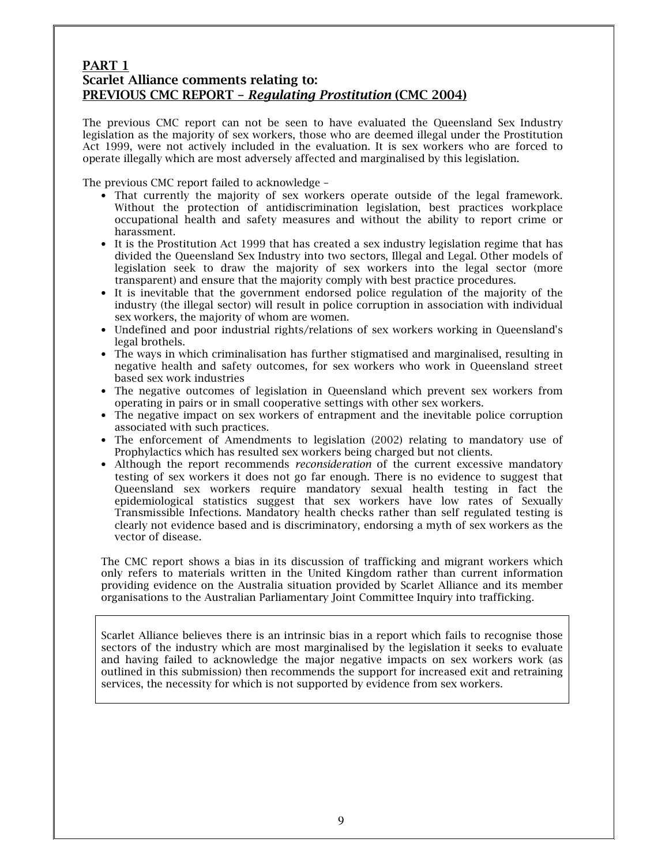# PART 1 Scarlet Alliance comments relating to: **PREVIOUS CMC REPORT - Requlating Prostitution (CMC 2004)**

The previous CMC report can not be seen to have evaluated the Queensland Sex Industry legislation as the majority of sex workers, those who are deemed illegal under the Prostitution Act 1999, were not actively included in the evaluation. It is sex workers who are forced to operate illegally which are most adversely affected and marginalised by this legislation.

The previous CMC report failed to acknowledge -

- That currently the majority of sex workers operate outside of the legal framework. Without the protection of antidiscrimination legislation, best practices workplace occupational health and safety measures and without the ability to report crime or harassment
- It is the Prostitution Act 1999 that has created a sex industry legislation regime that has divided the Oueensland Sex Industry into two sectors, Illegal and Legal. Other models of legislation seek to draw the majority of sex workers into the legal sector (more transparent) and ensure that the majority comply with best practice procedures.
- It is inevitable that the government endorsed police regulation of the majority of the industry (the illegal sector) will result in police corruption in association with individual sex workers, the majority of whom are women.
- Undefined and poor industrial rights/relations of sex workers working in Queensland's legal brothels.
- The ways in which criminalisation has further stigmatised and marginalised, resulting in negative health and safety outcomes, for sex workers who work in Queensland street based sex work industries
- The negative outcomes of legislation in Queensland which prevent sex workers from operating in pairs or in small cooperative settings with other sex workers.
- The negative impact on sex workers of entrapment and the inevitable police corruption associated with such practices.
- The enforcement of Amendments to legislation (2002) relating to mandatory use of Prophylactics which has resulted sex workers being charged but not clients.
- Although the report recommends *reconsideration* of the current excessive mandatory testing of sex workers it does not go far enough. There is no evidence to suggest that Queensland sex workers require mandatory sexual health testing in fact the epidemiological statistics suggest that sex workers have low rates of Sexually Transmissible Infections. Mandatory health checks rather than self regulated testing is clearly not evidence based and is discriminatory, endorsing a myth of sex workers as the vector of disease.

The CMC report shows a bias in its discussion of trafficking and migrant workers which only refers to materials written in the United Kingdom rather than current information providing evidence on the Australia situation provided by Scarlet Alliance and its member organisations to the Australian Parliamentary Joint Committee Inquiry into trafficking.

Scarlet Alliance believes there is an intrinsic bias in a report which fails to recognise those sectors of the industry which are most marginalised by the legislation it seeks to evaluate and having failed to acknowledge the major negative impacts on sex workers work (as outlined in this submission) then recommends the support for increased exit and retraining services, the necessity for which is not supported by evidence from sex workers.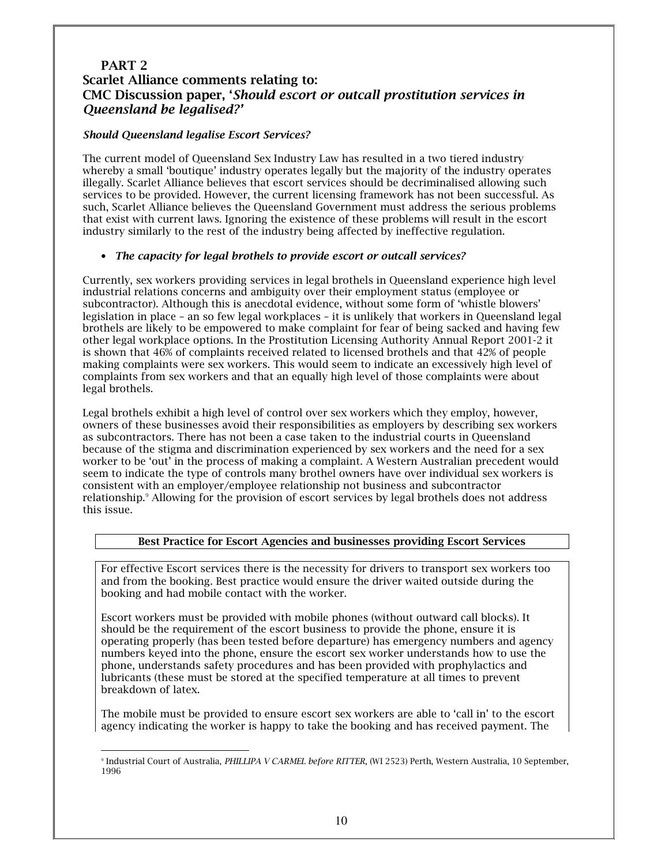# PART<sub>2</sub> **Scarlet Alliance comments relating to:** CMC Discussion paper, 'Should escort or outcall prostitution services in Oueensland be legalised?'

## **Should Queensland legalise Escort Services?**

The current model of Queensland Sex Industry Law has resulted in a two tiered industry whereby a small 'boutique' industry operates legally but the majority of the industry operates illegally. Scarlet Alliance believes that escort services should be decriminalised allowing such services to be provided. However, the current licensing framework has not been successful. As such, Scarlet Alliance believes the Oueensland Government must address the serious problems that exist with current laws. Ignoring the existence of these problems will result in the escort industry similarly to the rest of the industry being affected by ineffective regulation.

## • The capacity for legal brothels to provide escort or outcall services?

Currently, sex workers providing services in legal brothels in Queensland experience high level industrial relations concerns and ambiguity over their employment status (employee or subcontractor). Although this is anecdotal evidence, without some form of 'whistle blowers' legislation in place - an so few legal workplaces - it is unlikely that workers in Queensland legal brothels are likely to be empowered to make complaint for fear of being sacked and having few other legal workplace options. In the Prostitution Licensing Authority Annual Report 2001-2 it is shown that 46% of complaints received related to licensed brothels and that 42% of people making complaints were sex workers. This would seem to indicate an excessively high level of complaints from sex workers and that an equally high level of those complaints were about legal brothels.

Legal brothels exhibit a high level of control over sex workers which they employ, however, owners of these businesses avoid their responsibilities as employers by describing sex workers as subcontractors. There has not been a case taken to the industrial courts in Queensland because of the stigma and discrimination experienced by sex workers and the need for a sex worker to be 'out' in the process of making a complaint. A Western Australian precedent would seem to indicate the type of controls many brothel owners have over individual sex workers is consistent with an employer/employee relationship not business and subcontractor relationship.<sup>9</sup> Allowing for the provision of escort services by legal brothels does not address this issue.

## Best Practice for Escort Agencies and businesses providing Escort Services

For effective Escort services there is the necessity for drivers to transport sex workers too and from the booking. Best practice would ensure the driver waited outside during the booking and had mobile contact with the worker.

Escort workers must be provided with mobile phones (without outward call blocks). It should be the requirement of the escort business to provide the phone, ensure it is operating properly (has been tested before departure) has emergency numbers and agency numbers keved into the phone, ensure the escort sex worker understands how to use the phone, understands safety procedures and has been provided with prophylactics and lubricants (these must be stored at the specified temperature at all times to prevent breakdown of latex.

The mobile must be provided to ensure escort sex workers are able to 'call in' to the escort agency indicating the worker is happy to take the booking and has received payment. The

<sup>&</sup>lt;sup>9</sup> Industrial Court of Australia, PHILLIPA V CARMEL before RITTER, (WI 2523) Perth, Western Australia, 10 September, 1996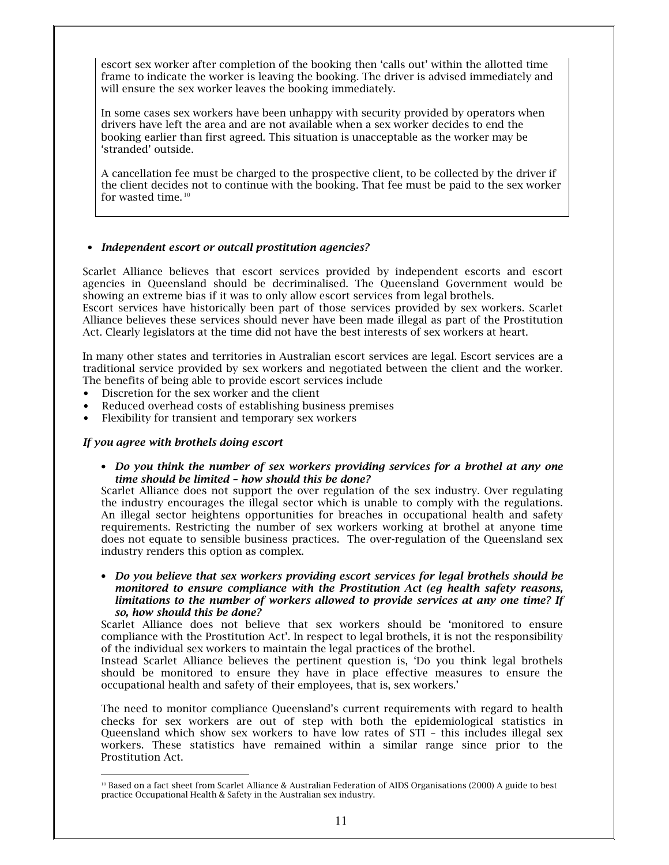escort sex worker after completion of the booking then 'calls out' within the allotted time frame to indicate the worker is leaving the booking. The driver is advised immediately and will ensure the sex worker leaves the booking immediately.

In some cases sex workers have been unhappy with security provided by operators when drivers have left the area and are not available when a sex worker decides to end the booking earlier than first agreed. This situation is unacceptable as the worker may be 'stranded' outside.

A cancellation fee must be charged to the prospective client, to be collected by the driver if the client decides not to continue with the booking. That fee must be paid to the sex worker for wasted time.<sup>10</sup>

## • Independent escort or outcall prostitution agencies?

Scarlet Alliance believes that escort services provided by independent escorts and escort agencies in Queensland should be decriminalised. The Queensland Government would be showing an extreme bias if it was to only allow escort services from legal brothels.

Escort services have historically been part of those services provided by sex workers. Scarlet Alliance believes these services should never have been made illegal as part of the Prostitution Act. Clearly legislators at the time did not have the best interests of sex workers at heart.

In many other states and territories in Australian escort services are legal. Escort services are a traditional service provided by sex workers and negotiated between the client and the worker. The benefits of being able to provide escort services include

- Discretion for the sex worker and the client  $\bullet$
- Reduced overhead costs of establishing business premises  $\bullet$
- $\bullet$ Flexibility for transient and temporary sex workers

#### If you agree with brothels doing escort

• Do you think the number of sex workers providing services for a brothel at any one time should be limited - how should this be done?

Scarlet Alliance does not support the over regulation of the sex industry. Over regulating the industry encourages the illegal sector which is unable to comply with the regulations. An illegal sector heightens opportunities for breaches in occupational health and safety requirements. Restricting the number of sex workers working at brothel at anyone time does not equate to sensible business practices. The over-regulation of the Queensland sex industry renders this option as complex.

• Do you believe that sex workers providing escort services for legal brothels should be monitored to ensure compliance with the Prostitution Act (eq health safety reasons, limitations to the number of workers allowed to provide services at any one time? If so, how should this be done?

Scarlet Alliance does not believe that sex workers should be 'monitored to ensure compliance with the Prostitution Act'. In respect to legal brothels, it is not the responsibility of the individual sex workers to maintain the legal practices of the brothel.

Instead Scarlet Alliance believes the pertinent question is, 'Do you think legal brothels should be monitored to ensure they have in place effective measures to ensure the occupational health and safety of their employees, that is, sex workers.'

The need to monitor compliance Queensland's current requirements with regard to health checks for sex workers are out of step with both the epidemiological statistics in Queensland which show sex workers to have low rates of STI - this includes illegal sex workers. These statistics have remained within a similar range since prior to the Prostitution Act.

<sup>&</sup>lt;sup>10</sup> Based on a fact sheet from Scarlet Alliance & Australian Federation of AIDS Organisations (2000) A guide to best practice Occupational Health & Safety in the Australian sex industry.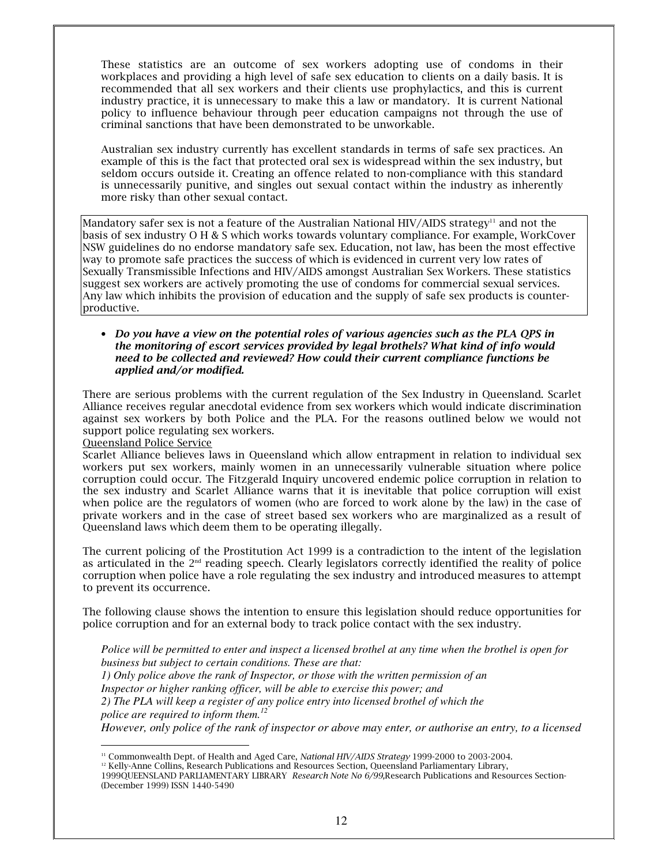These statistics are an outcome of sex workers adopting use of condoms in their workplaces and providing a high level of safe sex education to clients on a daily basis. It is recommended that all sex workers and their clients use prophylactics, and this is current industry practice, it is unnecessary to make this a law or mandatory. It is current National policy to influence behaviour through peer education campaigns not through the use of criminal sanctions that have been demonstrated to be unworkable.

Australian sex industry currently has excellent standards in terms of safe sex practices. An example of this is the fact that protected oral sex is widespread within the sex industry, but seldom occurs outside it. Creating an offence related to non-compliance with this standard is unnecessarily punitive, and singles out sexual contact within the industry as inherently more risky than other sexual contact.

Mandatory safer sex is not a feature of the Australian National HIV/AIDS strategy<sup>11</sup> and not the basis of sex industry O H & S which works towards voluntary compliance. For example, WorkCover NSW guidelines do no endorse mandatory safe sex. Education, not law, has been the most effective way to promote safe practices the success of which is evidenced in current very low rates of Sexually Transmissible Infections and HIV/AIDS amongst Australian Sex Workers. These statistics suggest sex workers are actively promoting the use of condoms for commercial sexual services. Any law which inhibits the provision of education and the supply of safe sex products is counterproductive.

#### • Do you have a view on the potential roles of various agencies such as the PLA QPS in the monitoring of escort services provided by legal brothels? What kind of info would need to be collected and reviewed? How could their current compliance functions be applied and/or modified.

There are serious problems with the current regulation of the Sex Industry in Queensland. Scarlet Alliance receives regular anecdotal evidence from sex workers which would indicate discrimination against sex workers by both Police and the PLA. For the reasons outlined below we would not support police regulating sex workers.

## Queensland Police Service

Scarlet Alliance believes laws in Queensland which allow entrapment in relation to individual sex workers put sex workers, mainly women in an unnecessarily vulnerable situation where police corruption could occur. The Fitzgerald Inquiry uncovered endemic police corruption in relation to the sex industry and Scarlet Alliance warns that it is inevitable that police corruption will exist when police are the regulators of women (who are forced to work alone by the law) in the case of private workers and in the case of street based sex workers who are marginalized as a result of Queensland laws which deem them to be operating illegally.

The current policing of the Prostitution Act 1999 is a contradiction to the intent of the legislation as articulated in the  $2<sup>nd</sup>$  reading speech. Clearly legislators correctly identified the reality of police corruption when police have a role regulating the sex industry and introduced measures to attempt to prevent its occurrence.

The following clause shows the intention to ensure this legislation should reduce opportunities for police corruption and for an external body to track police contact with the sex industry.

Police will be permitted to enter and inspect a licensed brothel at any time when the brothel is open for business but subject to certain conditions. These are that:

- 1) Only police above the rank of Inspector, or those with the written permission of an
- Inspector or higher ranking officer, will be able to exercise this power; and

2) The PLA will keep a register of any police entry into licensed brothel of which the police are required to inform them.<sup>12</sup>

However, only police of the rank of inspector or above may enter, or authorise an entry, to a licensed

<sup>&</sup>lt;sup>11</sup> Commonwealth Dept. of Health and Aged Care, National HIV/AIDS Strategy 1999-2000 to 2003-2004.

<sup>&</sup>lt;sup>12</sup> Kelly-Anne Collins, Research Publications and Resources Section, Queensland Parliamentary Library,

<sup>1999</sup>QUEENSLAND PARLIAMENTARY LIBRARY Research Note No 6/99, Research Publications and Resources Section-(December 1999) ISSN 1440-5490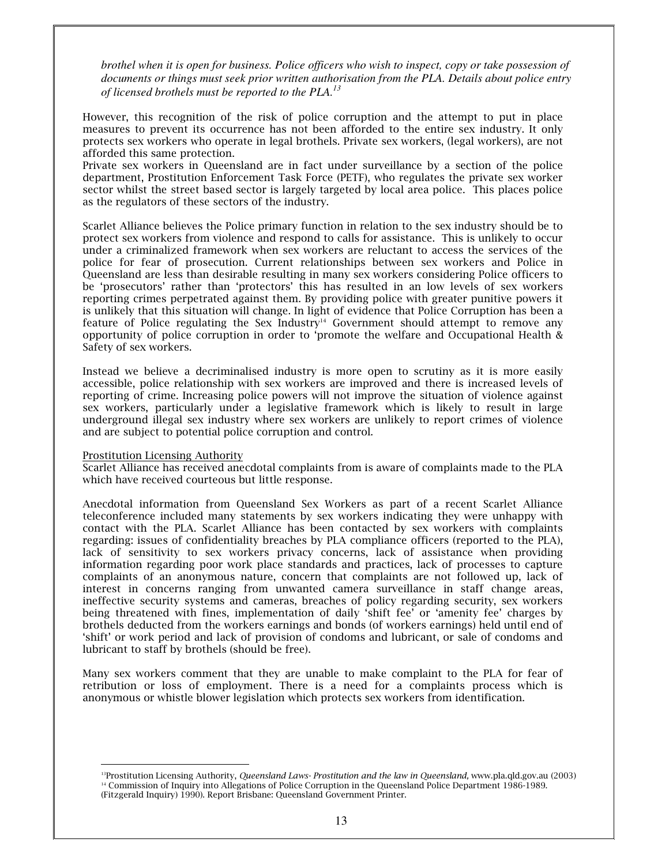brothel when it is open for business. Police officers who wish to inspect, copy or take possession of *documents or things must seek prior written authorisation from the PLA. Details about police entry of licensed brothels must be reported to the PLA. 13*

However, this recognition of the risk of police corruption and the attempt to put in place measures to prevent its occurrence has not been afforded to the entire sex industry. It only protects sex workers who operate in legal brothels. Private sex workers, (legal workers), are not afforded this same protection.

Private sex workers in Queensland are in fact under surveillance by a section of the police department, Prostitution Enforcement Task Force (PETF), who regulates the private sex worker sector whilst the street based sector is largely targeted by local area police. This places police as the regulators of these sectors of the industry.

Scarlet Alliance believes the Police primary function in relation to the sex industry should be to protect sex workers from violence and respond to calls for assistance. This is unlikely to occur under a criminalized framework when sex workers are reluctant to access the services of the police for fear of prosecution. Current relationships between sex workers and Police in Queensland are less than desirable resulting in many sex workers considering Police officers to be 'prosecutors' rather than 'protectors' this has resulted in an low levels of sex workers reporting crimes perpetrated against them. By providing police with greater punitive powers it is unlikely that this situation will change. In light of evidence that Police Corruption has been a feature of Police regulating the Sex Industry $^{14}$  Government should attempt to remove any opportunity of police corruption in order to 'promote the welfare and Occupational Health & Safety of sex workers.

Instead we believe a decriminalised industry is more open to scrutiny as it is more easily accessible, police relationship with sex workers are improved and there is increased levels of reporting of crime. Increasing police powers will not improve the situation of violence against sex workers, particularly under a legislative framework which is likely to result in large underground illegal sex industry where sex workers are unlikely to report crimes of violence and are subject to potential police corruption and control.

#### Prostitution Licensing Authority

Scarlet Alliance has received anecdotal complaints from is aware of complaints made to the PLA which have received courteous but little response.

Anecdotal information from Queensland Sex Workers as part of a recent Scarlet Alliance teleconference included many statements by sex workers indicating they were unhappy with contact with the PLA. Scarlet Alliance has been contacted by sex workers with complaints regarding: issues of confidentiality breaches by PLA compliance officers (reported to the PLA), lack of sensitivity to sex workers privacy concerns, lack of assistance when providing information regarding poor work place standards and practices, lack of processes to capture complaints of an anonymous nature, concern that complaints are not followed up, lack of interest in concerns ranging from unwanted camera surveillance in staff change areas, ineffective security systems and cameras, breaches of policy regarding security, sex workers being threatened with fines, implementation of daily 'shift fee' or 'amenity fee' charges by brothels deducted from the workers earnings and bonds (of workers earnings) held until end of 'shift' or work period and lack of provision of condoms and lubricant, or sale of condoms and lubricant to staff by brothels (should be free).

Many sex workers comment that they are unable to make complaint to the PLA for fear of retribution or loss of employment. There is a need for a complaints process which is anonymous or whistle blower legislation which protects sex workers from identification.

Brostitution Licensing Authority, *Queensland Laws- Prostitution and the law in Queensland*, www.pla.qld.gov.au (2003): <sup>14</sup> Commission of Inquiry into Allegations of Police Corruption in the Queensland Police Department 1986-1989. (Fitzgerald Inquiry) 1990). Report Brisbane: Queensland Government Printer.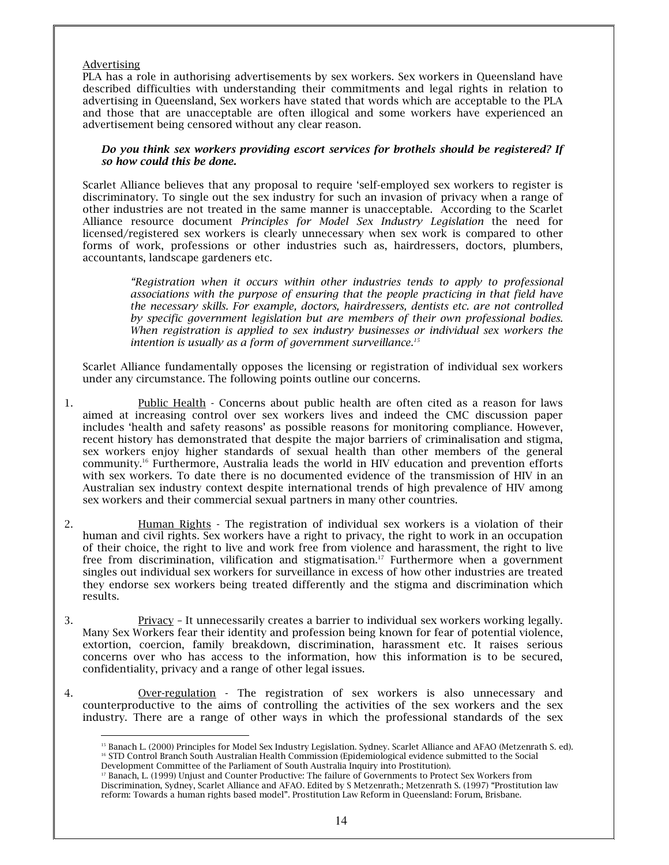## **Advertising**

PLA has a role in authorising advertisements by sex workers. Sex workers in Queensland have described difficulties with understanding their commitments and legal rights in relation to advertising in Queensland, Sex workers have stated that words which are acceptable to the PLA and those that are unacceptable are often illogical and some workers have experienced an advertisement being censored without any clear reason.

#### Do you think sex workers providing escort services for brothels should be registered? If so how could this be done.

Scarlet Alliance believes that any proposal to require 'self-employed sex workers to register is discriminatory. To single out the sex industry for such an invasion of privacy when a range of other industries are not treated in the same manner is unacceptable. According to the Scarlet Alliance resource document Principles for Model Sex Industry Legislation the need for licensed/registered sex workers is clearly unnecessary when sex work is compared to other forms of work, professions or other industries such as, hairdressers, doctors, plumbers, accountants, landscape gardeners etc.

"Registration when it occurs within other industries tends to apply to professional associations with the purpose of ensuring that the people practicing in that field have the necessary skills. For example, doctors, hairdressers, dentists etc. are not controlled by specific government legislation but are members of their own professional bodies. When registration is applied to sex industry businesses or individual sex workers the intention is usually as a form of government surveillance. $15$ 

Scarlet Alliance fundamentally opposes the licensing or registration of individual sex workers under any circumstance. The following points outline our concerns.

- Public Health Concerns about public health are often cited as a reason for laws 1. aimed at increasing control over sex workers lives and indeed the CMC discussion paper includes 'health and safety reasons' as possible reasons for monitoring compliance. However, recent history has demonstrated that despite the major barriers of criminalisation and stigma, sex workers enjoy higher standards of sexual health than other members of the general community.<sup>16</sup> Furthermore, Australia leads the world in HIV education and prevention efforts with sex workers. To date there is no documented evidence of the transmission of HIV in an Australian sex industry context despite international trends of high prevalence of HIV among sex workers and their commercial sexual partners in many other countries.
- 2. Human Rights - The registration of individual sex workers is a violation of their human and civil rights. Sex workers have a right to privacy, the right to work in an occupation of their choice, the right to live and work free from violence and harassment, the right to live free from discrimination, vilification and stigmatisation.<sup>17</sup> Furthermore when a government singles out individual sex workers for surveillance in excess of how other industries are treated they endorse sex workers being treated differently and the stigma and discrimination which results.
- Privacy It unnecessarily creates a barrier to individual sex workers working legally. 3. Many Sex Workers fear their identity and profession being known for fear of potential violence, extortion, coercion, family breakdown, discrimination, harassment etc. It raises serious concerns over who has access to the information, how this information is to be secured, confidentiality, privacy and a range of other legal issues.
- $4.$ Over-regulation - The registration of sex workers is also unnecessary and counterproductive to the aims of controlling the activities of the sex workers and the sex industry. There are a range of other ways in which the professional standards of the sex

<sup>&</sup>lt;sup>15</sup> Banach L. (2000) Principles for Model Sex Industry Legislation. Sydney. Scarlet Alliance and AFAO (Metzenrath S. ed). <sup>16</sup> STD Control Branch South Australian Health Commission (Epidemiological evidence submitted to the Social Development Committee of the Parliament of South Australia Inquiry into Prostitution).

<sup>&</sup>lt;sup>17</sup> Banach, L. (1999) Unjust and Counter Productive: The failure of Governments to Protect Sex Workers from Discrimination, Sydney, Scarlet Alliance and AFAO. Edited by S Metzenrath.; Metzenrath S. (1997) "Prostitution law reform: Towards a human rights based model". Prostitution Law Reform in Queensland: Forum, Brisbane.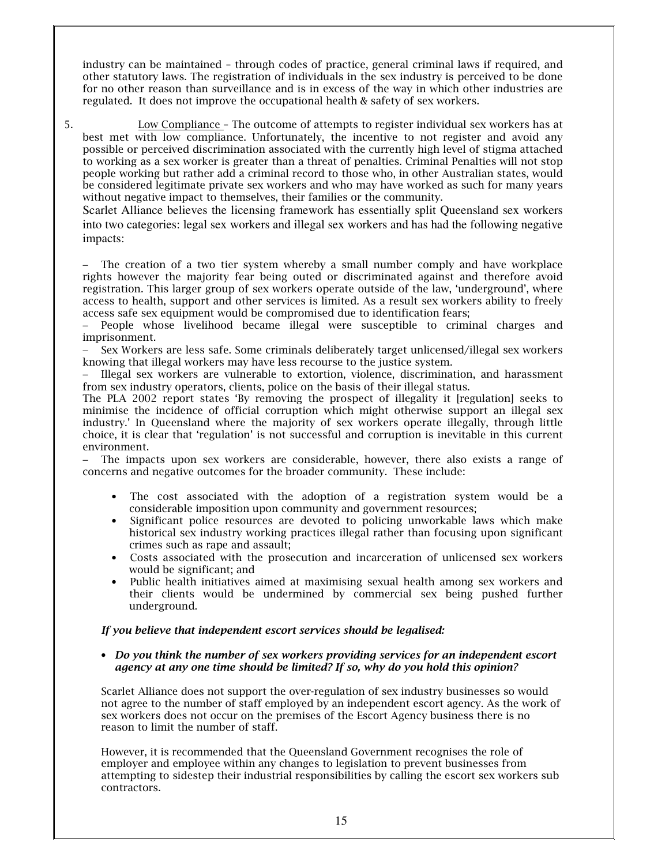industry can be maintained - through codes of practice, general criminal laws if required, and other statutory laws. The registration of individuals in the sex industry is perceived to be done for no other reason than surveillance and is in excess of the way in which other industries are regulated. It does not improve the occupational health & safety of sex workers.

5. **Low Compliance** - The outcome of attempts to register individual sex workers has at best met with low compliance. Unfortunately, the incentive to not register and avoid any possible or perceived discrimination associated with the currently high level of stigma attached to working as a sex worker is greater than a threat of penalties. Criminal Penalties will not stop people working but rather add a criminal record to those who, in other Australian states, would be considered legitimate private sex workers and who may have worked as such for many years without negative impact to themselves, their families or the community.

Scarlet Alliance believes the licensing framework has essentially split Queensland sex workers into two categories: legal sex workers and illegal sex workers and has had the following negative impacts:

The creation of a two tier system whereby a small number comply and have workplace rights however the majority fear being outed or discriminated against and therefore avoid registration. This larger group of sex workers operate outside of the law, 'underground', where access to health, support and other services is limited. As a result sex workers ability to freely access safe sex equipment would be compromised due to identification fears;

− People whose livelihood became illegal were susceptible to criminal charges and imprisonment.

Sex Workers are less safe. Some criminals deliberately target unlicensed/illegal sex workers knowing that illegal workers may have less recourse to the justice system.

− Illegal sex workers are vulnerable to extortion, violence, discrimination, and harassment from sex industry operators, clients, police on the basis of their illegal status.

The PLA 2002 report states 'By removing the prospect of illegality it [regulation] seeks to minimise the incidence of official corruption which might otherwise support an illegal sex industry.' In Queensland where the majority of sex workers operate illegally, through little choice, it is clear that 'regulation' is not successful and corruption is inevitable in this current environment.

− The impacts upon sex workers are considerable, however, there also exists a range of concerns and negative outcomes for the broader community. These include:

- The cost associated with the adoption of a registration system would be a considerable imposition upon community and government resources;
- Significant police resources are devoted to policing unworkable laws which make historical sex industry working practices illegal rather than focusing upon significant crimes such as rape and assault:
- Costs associated with the prosecution and incarceration of unlicensed sex workers would be significant: and
- Public health initiatives aimed at maximising sexual health among sex workers and their clients would be undermined by commercial sex being pushed further underground.

## If you believe that independent escort services should be legalised:

#### $\bullet$   $\,$  Do you think the number of sex workers providing services for an independent escort agency at any one time should be limited? If so, why do you hold this opinion?

Scarlet Alliance does not support the over-regulation of sex industry businesses so would not agree to the number of staff employed by an independent escort agency. As the work of sex workers does not occur on the premises of the Escort Agency business there is no reason to limit the number of staff.

However, it is recommended that the Queensland Government recognises the role of employer and employee within any changes to legislation to prevent businesses from attempting to sidestep their industrial responsibilities by calling the escort sex workers sub contractors.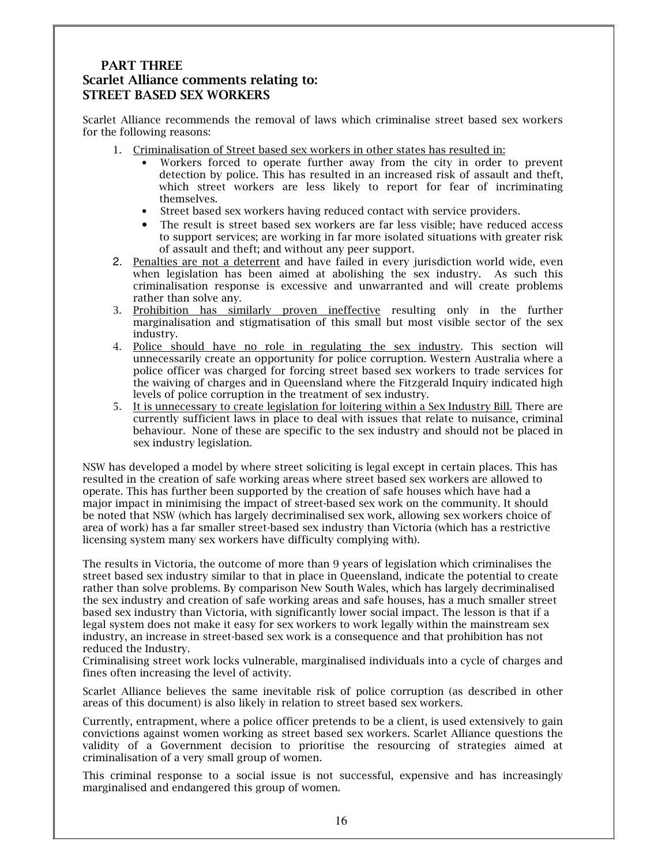# **PART THREE Scarlet Alliance comments relating to: STREET BASED SEX WORKERS**

Scarlet Alliance recommends the removal of laws which criminalise street based sex workers for the following reasons:

- 1. Criminalisation of Street based sex workers in other states has resulted in:
	- Workers forced to operate further away from the city in order to prevent detection by police. This has resulted in an increased risk of assault and theft, which street workers are less likely to report for fear of incriminating themselves.
	- Street based sex workers having reduced contact with service providers.
	- The result is street based sex workers are far less visible: have reduced access to support services; are working in far more isolated situations with greater risk of assault and theft; and without any peer support.
- 2. Penalties are not a deterrent and have failed in every jurisdiction world wide, even when legislation has been aimed at abolishing the sex industry. As such this criminalisation response is excessive and unwarranted and will create problems rather than solve any.
- 3. Prohibition has similarly proven ineffective resulting only in the further marginalisation and stigmatisation of this small but most visible sector of the sex industry.
- 4. Police should have no role in regulating the sex industry. This section will unnecessarily create an opportunity for police corruption. Western Australia where a police officer was charged for forcing street based sex workers to trade services for the waiving of charges and in Queensland where the Fitzgerald Inquiry indicated high levels of police corruption in the treatment of sex industry.
- 5. It is unnecessary to create legislation for loitering within a Sex Industry Bill. There are currently sufficient laws in place to deal with issues that relate to nuisance, criminal behaviour. None of these are specific to the sex industry and should not be placed in sex industry legislation.

NSW has developed a model by where street soliciting is legal except in certain places. This has resulted in the creation of safe working areas where street based sex workers are allowed to operate. This has further been supported by the creation of safe houses which have had a major impact in minimising the impact of street-based sex work on the community. It should be noted that NSW (which has largely decriminalised sex work, allowing sex workers choice of area of work) has a far smaller street-based sex industry than Victoria (which has a restrictive licensing system many sex workers have difficulty complying with).

The results in Victoria, the outcome of more than 9 years of legislation which criminalises the street based sex industry similar to that in place in Queensland, indicate the potential to create rather than solve problems. By comparison New South Wales, which has largely decriminalised the sex industry and creation of safe working areas and safe houses, has a much smaller street based sex industry than Victoria, with significantly lower social impact. The lesson is that if a legal system does not make it easy for sex workers to work legally within the mainstream sex industry, an increase in street-based sex work is a consequence and that prohibition has not reduced the Industry.

Criminalising street work locks vulnerable, marginalised individuals into a cycle of charges and fines often increasing the level of activity.

Scarlet Alliance believes the same inevitable risk of police corruption (as described in other areas of this document) is also likely in relation to street based sex workers.

Currently, entrapment, where a police officer pretends to be a client, is used extensively to gain convictions against women working as street based sex workers. Scarlet Alliance questions the validity of a Government decision to prioritise the resourcing of strategies aimed at criminalisation of a very small group of women.

This criminal response to a social issue is not successful, expensive and has increasingly marginalised and endangered this group of women.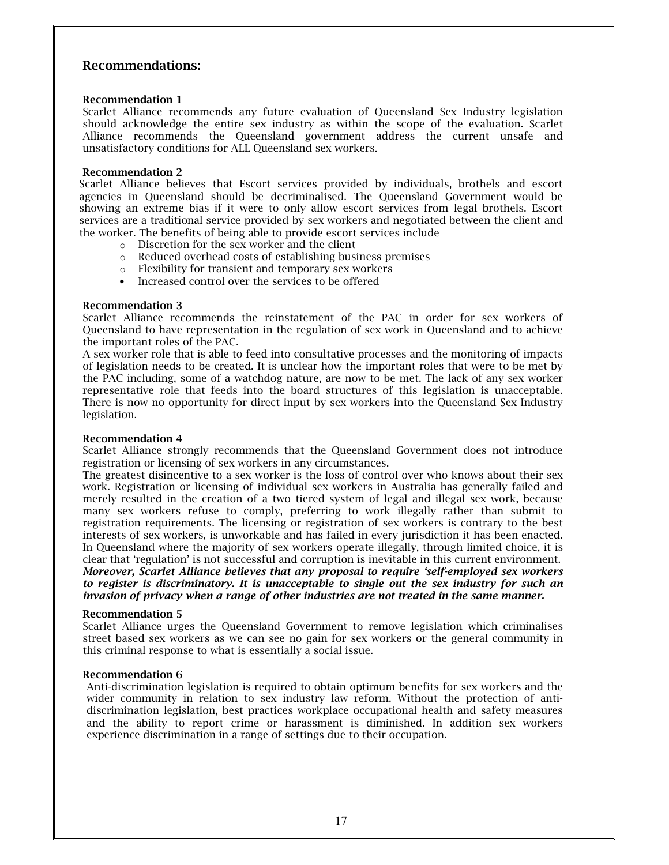# **Recommendations:**

#### **Recommendation 1**

Scarlet Alliance recommends any future evaluation of Queensland Sex Industry legislation should acknowledge the entire sex industry as within the scope of the evaluation. Scarlet Alliance recommends the Queensland government address the current unsafe and unsatisfactory conditions for ALL Queensland sex workers.

#### **Recommendation 2**

Scarlet Alliance believes that Escort services provided by individuals, brothels and escort agencies in Queensland should be decriminalised. The Queensland Government would be showing an extreme bias if it were to only allow escort services from legal brothels. Escort services are a traditional service provided by sex workers and negotiated between the client and the worker. The benefits of being able to provide escort services include

- o Discretion for the sex worker and the client
- Reduced overhead costs of establishing business premises
- o Flexibility for transient and temporary sex workers
- Increased control over the services to be offered

#### **Recommendation 3**

Scarlet Alliance recommends the reinstatement of the PAC in order for sex workers of Queensland to have representation in the regulation of sex work in Queensland and to achieve the important roles of the PAC.

A sex worker role that is able to feed into consultative processes and the monitoring of impacts of legislation needs to be created. It is unclear how the important roles that were to be met by the PAC including, some of a watchdog nature, are now to be met. The lack of any sex worker representative role that feeds into the board structures of this legislation is unacceptable. There is now no opportunity for direct input by sex workers into the Queensland Sex Industry legislation.

#### **Recommendation 4**

Scarlet Alliance strongly recommends that the Queensland Government does not introduce registration or licensing of sex workers in any circumstances.

The greatest disincentive to a sex worker is the loss of control over who knows about their sex work. Registration or licensing of individual sex workers in Australia has generally failed and merely resulted in the creation of a two tiered system of legal and illegal sex work, because many sex workers refuse to comply, preferring to work illegally rather than submit to registration requirements. The licensing or registration of sex workers is contrary to the best interests of sex workers, is unworkable and has failed in every jurisdiction it has been enacted. In Queensland where the majority of sex workers operate illegally, through limited choice, it is clear that 'regulation' is not successful and corruption is inevitable in this current environment. Moreover, Scarlet Alliance believes that any proposal to require 'self-employed sex workers to register is discriminatory. It is unacceptable to single out the sex industry for such an invasion of privacy when a range of other industries are not treated in the same manner.

#### **Recommendation 5**

Scarlet Alliance urges the Queensland Government to remove legislation which criminalises street based sex workers as we can see no gain for sex workers or the general community in this criminal response to what is essentially a social issue.

#### **Recommendation 6**

Anti-discrimination legislation is required to obtain optimum benefits for sex workers and the wider community in relation to sex industry law reform. Without the protection of antidiscrimination legislation, best practices workplace occupational health and safety measures and the ability to report crime or harassment is diminished. In addition sex workers experience discrimination in a range of settings due to their occupation.